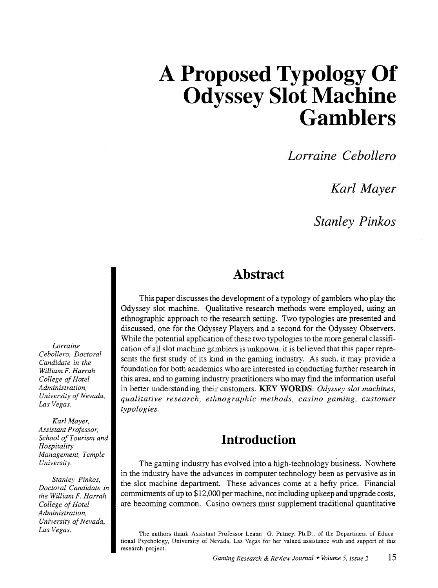*Lorraine Cebollero* 

*Karl Mayer* 

*Stanley Pinkos* 

#### **Abstract**

This paper discusses the development of a typology of gamblers who play the Odyssey slot machine. Qualitative research methods were employed, using an ethnographic approach to the research setting. Two typologies are presented and discussed, one for the Odyssey Players and a second for the Odyssey Observers. While the potential application of these two typologies to the more general classification of all slot machine gamblers is unknown, it is believed that this paper represents the first study of its kind in the gaming industry. As such, it may provide a foundation for both academics who are interested in conducting further research in this area, and to gaming industry practitioners who may fmd the information useful in better understanding their customers. **KEY WORDS:** *Odyssey slot machines, qualitative research, ethnographic methods, casino gaming, customer typologies.* 

### **Introduction**

The gaming industry has evolved into a high-technology business. Nowhere in the industry have the advances in computer technology been as pervasive as in the slot machine department. These advances come at a hefty price. Financial commitments of up to \$12,000 per machine, not including upkeep and upgrade costs, are becoming common. Casino owners must supplement traditional quantitative

*Lorraine Cebollero, Doctoral Candidate in the William F. Harrah College of Hotel Administration, University of Nevada, Las Vegas.* 

*Karl Mayer, Assistant Professor, School of Tourism and Hospitality Management, Temple University.* 

*Stanley Pinkos, Doctoral Candidate* in *the William* F. *Harrah College of Hotel Administration, University of Nevada, Las Vegas.* 

The authors thank Assistant Professor Leann G. Putney, Ph.D., of the Department of Educational Psychology, University of Nevada, Las Vegas for her valued assistance with and support of this research project.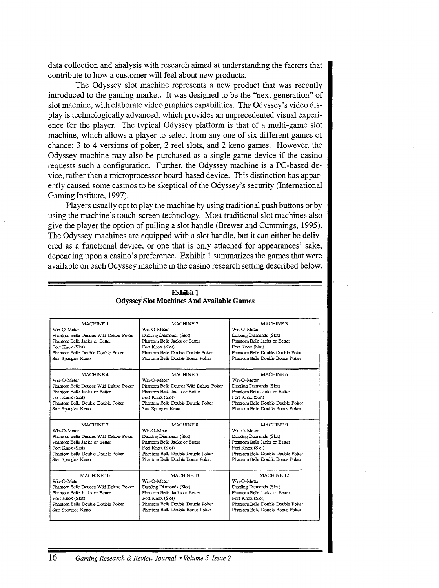data collection and analysis with research aimed at understanding the factors that contribute to how a customer will feel about new products.

The Odyssey slot machine represents a new product that was recently introduced to the gaming market. It was designed to be the "next generation" of slot machine, with elaborate video graphics capabilities. The Odyssey's video display is technologically advanced, which provides an unprecedented visual experience for the player. The typical Odyssey platform is that of a multi-game slot machine, which allows a player to select from any one of six different games of chance: 3 to 4 versions of poker, 2 reel slots, and 2 keno games. However, the Odyssey machine may also be purchased as a single game device if the casino requests such a configuration. Further, the Odyssey machine is a PC-based device, rather than a microprocessor board-based device. This distinction has apparently caused some casinos to be skeptical of the Odyssey's security (International Gaming Institute, 1997).

Players usually opt to play the machine by using traditional push buttons or by using the machine's touch-screen technology. Most traditional slot machines also give the player the option of pulling a slot handle (Brewer and Cummings, 1995). The Odyssey machines are equipped with a slot handle, but it can either be delivered as a functional device, or one that is only attached for appearances' sake, depending upon a casino's preference. Exhibit 1 summarizes the games that were available on each Odyssey machine in the casino research setting described below.

| MACHINE 1                              | MACHINE <sub>2</sub>                   | MACHINE <sub>3</sub>              |
|----------------------------------------|----------------------------------------|-----------------------------------|
| Wm-O-Meter                             | Wm-O-Meter                             | Wm-O-Meter                        |
| Phantom Belle Deuces Wild Deluxe Poker | Dazzling Diamonds (Slot)               | Dazzling Diamonds (Slot)          |
| Phantom Belle Jacks or Better          | Phantom Belle Jacks or Better          | Phantom Belle Jacks or Better     |
| Fort Knox (Slot)                       | Fort Knox (Slot)                       | Fort Knox (Slot)                  |
| Phantom Belle Double Double Poker      | Phantom Belle Double Double Poker      | Phantom Belle Double Double Poker |
| Star Spangles Keno                     | Phantom Belle Double Bonus Poker       | Phantom Belle Double Bonus Poker  |
| MACHINE <sub>4</sub>                   | <b>MACHINE 5</b>                       | MACHINE 6                         |
| Wm-O-Meter                             | Wm-O-Meter                             | Wm-O-Meter                        |
| Phantom Belle Deuces Wild Deluxe Poker | Phantom Belle Deuces Wild Dehixe Poker | Dazzling Diamonds (Slot)          |
| Phantom Belle Jacks or Better          | Phantom Belle Jacks or Better          | Phantom Belle Jacks or Better     |
| Fort Knox (Slot)                       | Fort Knox (Slot)                       | Fort Knox (Slot)                  |
| Phantom Belle Double Double Poker      | Phantom Belle Double Double Poker      | Phantom Belle Double Double Poker |
| Star Spangles Keno                     | Star Spangles Keno                     | Phantom Belle Double Bonus Poker  |
| MACHINE 7                              | MACHINE <sub>8</sub>                   | MACHINE <sub>9</sub>              |
| Wm-O-Meter                             | Wm-O-Meter                             | Wm-O-Meter                        |
| Phantom Belle Deuces Wild Deluxe Poker | Dazzling Diamonds (Slot)               | Dazzling Diamonds (Slot)          |
|                                        |                                        |                                   |
| Phantom Belle Jacks or Better          | Phantom Belle Jacks or Better          | Phantom Belle Jacks or Better     |
| Fort Knox (Slot)                       | Fort Knox (Slot)                       | Fort Knox (Slot)                  |
| Phantom Belle Double Double Poker      | Phantom Belle Double Double Poker      | Phantom Belle Double Double Poker |
| Star Spangles Keno                     | Phantom Belle Double Bonus Poker       | Phantom Belle Double Bonus Poker  |
| MACHINE 10                             | MACHINE 11                             | MACHINE <sub>12</sub>             |
| Wm-O-Meter                             | Wm-O-Meter                             | Wm-O-Meter                        |
| Phantom Belle Deuces Wild Deluxe Poker | Dazzling Diamonds (Slot)               | Dazzling Diamonds (Slot)          |
| Phantom Belle Jacks or Better          | Phantom Belle Jacks or Better          | Phantom Belle Jacks or Better     |
| Fort Knox (Slot)                       | Fort Knox (Slot)                       | Fort Knox (Slot)                  |
| Phantom Belle Double Double Poker      | Phantom Belle Double Double Poker      | Phantom Belle Double Double Poker |
| Star Spangles Keno                     | Phantom Belle Double Bonus Poker       | Phantom Belle Double Bonus Poker  |

Exhibit 1 Odyssey Slot Machines And Available Games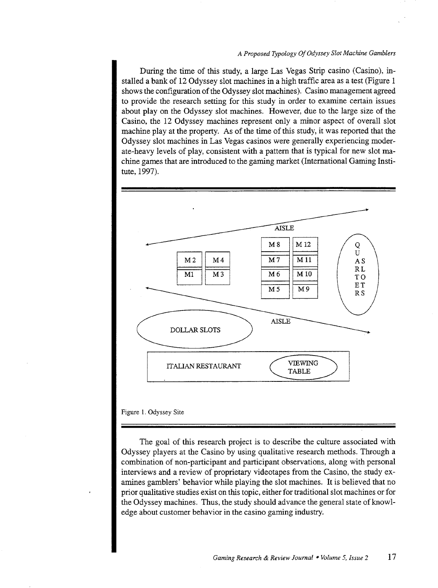During the time of this study, a large Las Vegas Strip casino (Casino), installed a bank of 12 Odyssey slot machines in a high traffic area as a test (Figure 1 shows the configuration of the Odyssey slot machines). Casino management agreed to provide the research setting for this study in order to examine certain issues about play on the Odyssey slot machines. However, due to the large size of the Casino, the 12 Odyssey machines represent only a minor aspect of overall slot machine play at the property. As of the time of this study, it was reported that the Odyssey slot machines in Las Vegas casinos were generally experiencing moderate-heavy levels of play, consistent with a pattern that is typical for new slot machine games that are introduced to the gaming market (International Gaming Institute, 1997).



#### Figure I. Odyssey Site

The goal of this research project is to describe the culture associated with Odyssey players at the Casino by using qualitative research methods. Through a combination of non-participant and participant observations, along with personal interviews and a review of proprietary videotapes from the Casino, the study examines gamblers' behavior while playing the slot machines. It is believed that no prior qualitative studies exist on this topic, either for traditional slot machines or for the Odyssey machines. Thus, the study should advance the general state of knowledge about customer behavior in the casino gaming industry.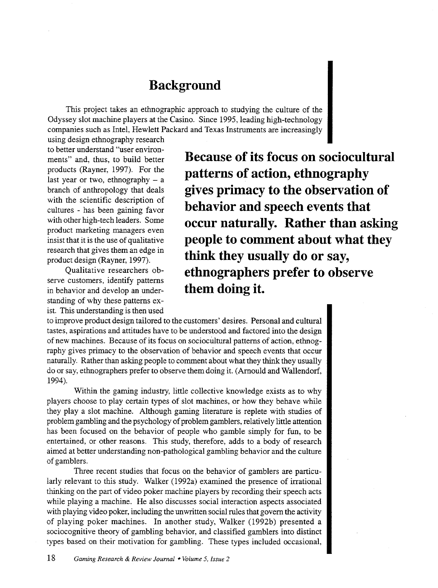#### **Background**

This project takes an ethnographic approach to studying the culture of the Odyssey slot machine players at the Casino. Since 1995, leading high-technology companies such as Intel, Hewlett Packard and Texas Instruments are increasingly

using design ethnography research to better understand "user environments" and, thus, to build better products (Rayner, 1997). For the last year or two, ethnography  $- a$ branch of anthropology that deals with the scientific description of cultures - has been gaining favor with other high-tech leaders. Some product marketing managers even insist that it is the use of qualitative research that gives them an edge in product design (Rayner, 1997).

Qualitative researchers observe customers, identify patterns in behavior and develop an understanding of why these patterns exist. This understanding is then used **Because of its focus on sociocultural patterns of action, ethnography gives primacy to the observation of behavior and speech events that occur naturally. Rather than asking people to comment about what they think they usually do or say, ethnographers prefer to observe them doing it.** 

to improve product design tailored to the customers' desires. Personal and cultural tastes, aspirations and attitudes have to be understood and factored into the design of new machines. Because of its focus on sociocultural patterns of action, ethnography gives primacy to the observation of behavior and speech events that occur naturally. Rather than asking people to comment about what they think they usually do or say, ethnographers prefer to observe them doing it. (Arnauld and Wallendorf, 1994).

Within the gaming industry, little collective knowledge exists as to why players choose to play certain types of slot machines, or how they behave while they play a slot machine. Although gaming literature is replete with studies of problem gambling and the psychology of problem gamblers, relatively little attention has been focused on the behavior of people who gamble simply for fun, to be entertained, or other reasons. This study, therefore, adds to a body of research aimed at better understanding non-pathological gambling behavior and the culture of gamblers.

Three recent studies that focus on the behavior of gamblers are particularly relevant to this study. Walker (1992a) examined the presence of irrational thinking on the part of video poker machine players by recording their speech acts while playing a machine. He also discusses social interaction aspects associated with playing video poker, including the unwritten social rules that govern the activity of playing poker machines. In another study, Walker (1992b) presented a sociocognitive theory of gambling behavior, and classified gamblers into distinct types based on their motivation for gambling. These types included occasional,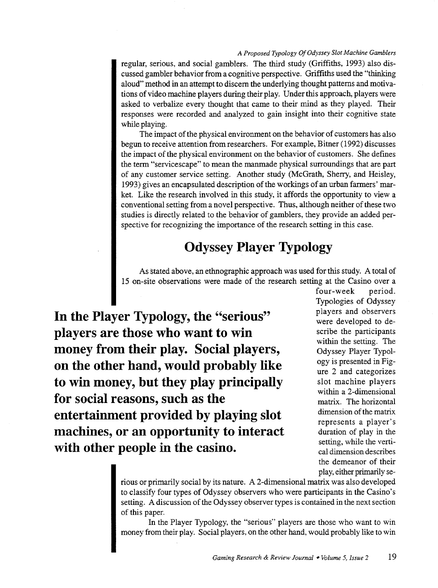regular, serious, and social gamblers. The third study (Griffiths, 1993) also discussed gambler behavior from a cognitive perspective. Griffiths used the "thinking aloud" method in an attempt to discern the underlying thought patterns and motivations of video machine players during their play. Under this approach, players were asked to verbalize every thought that came to their mind as they played. Their responses were recorded and analyzed to gain insight into their cognitive state while playing.

The impact of the physical environment on the behavior of customers has also begun to receive attention from researchers. For example, Bitner (1992) discusses the impact of the physical environment on the behavior of customers. She defines the term "servicescape" to mean the manmade physical surroundings that are part of any customer service setting. Another study (McGrath, Sherry, and Heisley, 1993) gives an encapsulated description of the workings of an urban farmers' market. Like the research involved in this study, it affords the opportunity to view a conventional setting from a novel perspective. Thus, although neither of these two studies is directly related to the behavior of gamblers, they provide an added perspective for recognizing the importance of the research setting in this case.

### **Odyssey Player Typology**

As stated above, an ethnographic approach was used for this study. A total of 15 on-site observations were made of the research setting at the Casino over a

**In the Player Typology, the "serious" players are those who want to win money from their play. Social players, on the other hand, would probably like to win money, but they play principally for social reasons, such as the entertainment provided by playing slot machines, or an opportunity to interact with other people in the casino.** 

four-week period. Typologies of Odyssey players and observers were developed to describe the participants within the setting. The Odyssey Player Typology is presented in Figure 2 and categorizes slot machine players within a 2-dimensional matrix. The horizontal dimension of the matrix represents a player's duration of play in the setting, while the vertical dimension describes the demeanor of their play, either primarily se-

rious or primarily social by its nature. A 2-dimensional matrix was also developed to classify four types of Odyssey observers who were participants in the Casino's setting. A discussion of the Odyssey observer types is contained in the next section of this paper.

In the Player Typology, the "serious" players are those who want to win money from their play. Social players, on the other hand, would probably like to win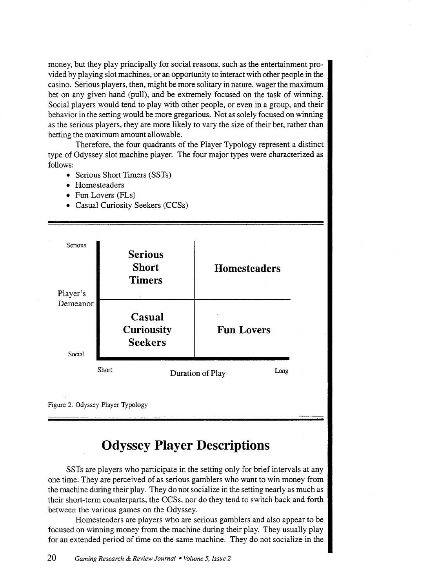money, but they play principally for social reasons, such as the entertainment provided by playing slot machines, or an opportunity to interact with other people in the casino. Serious players, then, might be more solitary in nature, wager the maximum bet on any given hand (pull), and be extremely focused on the task of winning. Social players would tend to play with other people, or even in a group, and their behavior in the setting would be more gregarious. Not as solely focused on winning as the serious players, they are more likely to vary the size of their bet, rather than betting the maximum amount allowable.

Therefore, the four quadrants of the Player Typology represent a distinct type of Odyssey slot machine player. The four major types were characterized as follows:

- Serious Short Timers (SSTs)
- Homesteaders
- Fun Lovers (FLs)
- Casual Curiosity Seekers (CCSs)



Figure 2. Odyssey Player Typology

### **Odyssey Player Descriptions**

SSTs are players who participate in the setting only for brief intervals at any one time. They are perceived of as serious gamblers who want to win money from the machine during their play. They do not socialize in the setting nearly as much as their short-term counterparts, the CCSs, nor do they tend to switch back and forth between the various games on the Odyssey.

Homesteaders are players who are serious gamblers and also appear to be focused on winning money from the machine during their play. They usually play for an extended period of time on the same machine. They do not socialize in the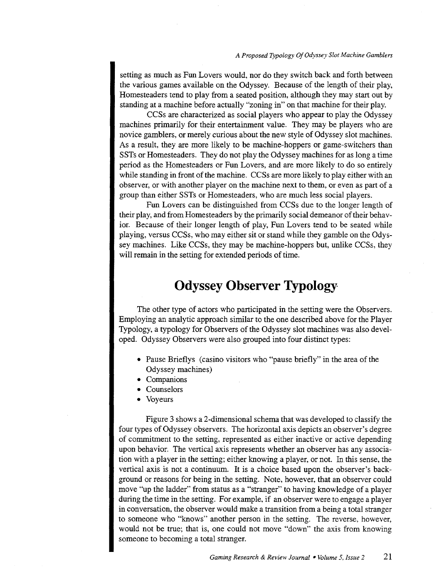setting as much as Fun Lovers would, nor do they switch back and forth between the various games available on the Odyssey. Because of the length of their play, Homesteaders tend to play from a seated position, although they may start out by standing at a machine before actually "zoning in" on that machine for their play.

CCSs are characterized as social players who appear to play the Odyssey machines primarily for their entertainment value. They may be players who are novice gamblers, or merely curious about the new style of Odyssey slot machines. As a result, they are more likely to be machine-hoppers or game-switchers than SSTs or Homesteaders. They do not play the Odyssey machines for as long a time period as the Homesteaders or Fun Lovers, and are more likely to do so entirely while standing in front of the machine. CCSs are more likely to play either with an observer, or with another player on the machine next to them, or even as part of a group than either SSTs or Homesteaders, who are much less social players.

Fun Lovers can be distinguished from CCSs due to the longer length of their play, and from Homesteaders by the primarily social demeanor of their behavior. Because of their longer length of play, Fun Lovers tend to be seated while playing, versus CCSs, who may either sit or stand while they gamble on the Odyssey machines. Like CCSs, they may be machine-hoppers but, unlike CCSs, they will remain in the setting for extended periods of time.

#### **Odyssey Observer Typology**

The other type of actors who participated in the setting were the Observers. Employing an analytic approach similar to the one described above for the Player Typology, a typology for Observers of the Odyssey slot machines was also developed. Odyssey Observers were also grouped into four distinct types:

- Pause Brieflys (casino visitors who "pause briefly" in the area of the Odyssey machines)
- Companions
- Counselors
- Voyeurs

Figure 3 shows a 2-dimensional schema that was developed to classify the four types of Odyssey observers. The horizontal axis depicts an observer's degree of commitment to the setting, represented as either inactive or active depending upon behavior. The vertical axis represents whether an observer has any association with a player in the setting; either knowing a player, or not. In this sense, the vertical axis is not a continuum. It is a choice based upon the observer's background or reasons for being in the setting. Note, however, that an observer could move "up the ladder" from status as a "stranger" to having knowledge of a player during the time in the setting. For example, if an observer were to engage a player in conversation, the observer would make a transition from a being a total stranger to someone who "knows" another person in the setting. The reverse, however, would not be true; that is, one could not move "down" the axis from knowing someone to becoming a total stranger.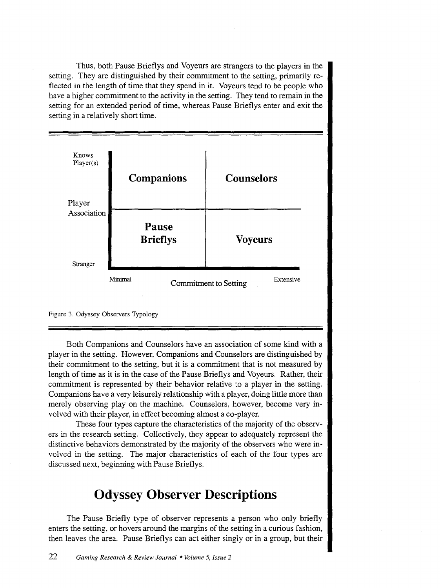Thus, both Pause Brieflys and Voyeurs are strangers to the players in the setting. They are distinguished by their commitment to the setting, primarily reflected in the length of time that they spend in it. Voyeurs tend to be people who have a higher commitment to the activity in the setting. They tend to remain in the setting for an extended period of time, whereas Pause Brieflys enter and exit the setting in a relatively short time.



Figure 3. Odyssey Observers Typology

Both Companions and Counselors have an association of some kind with a player in the setting. However, Companions and Counselors are distinguished by their commitment to the setting, but it is a commitment that is not measured by length of time as it is in the case of the Pause Brieflys and Voyeurs. Rather, their commitment is represented by their behavior relative to a player in the setting. Companions have a very leisurely relationship with a player, doing little more than merely observing play on the machine. Counselors, however, become very involved with their player, in effect becoming almost a co-player.

These four types capture the characteristics of the majority of the observers in the research setting. Collectively, they appear to adequately represent the distinctive behaviors demonstrated by the majority of the observers who were involved in the setting. The major characteristics of each of the four types are discussed next, beginning with Pause Brieflys.

### **Odyssey Observer Descriptions**

The Pause Briefly type of observer represents a person who only briefly enters the setting, or hovers around the margins of the setting in a curious fashion, then leaves the area. Pause Brieflys can act either singly or in a group, but their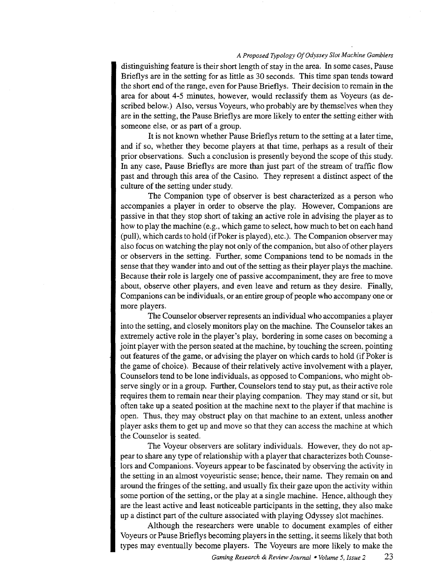distinguishing feature is their short length of stay in the area. In some cases, Pause Brieflys are in the setting for as little as 30 seconds. This time span tends toward the short end of the range, even for Pause Brieflys. Their decision to remain in the area for about 4-5 minutes, however, would reclassify them as Voyeurs (as described below.) Also, versus Voyeurs, who probably are by themselves when they are in the setting, the Pause Brieflys are more likely to enter the setting either with someone else, or as part of a group.

It is not known whether Pause Brieflys return to the setting at a later time, and if so, whether they become players at that time, perhaps as a result of their prior observations. Such a conclusion is presently beyond the scope of this study. In any case, Pause Brieflys are more than just part of the stream of traffic flow past and through this area of the Casino. They represent a distinct aspect of the culture of the setting under study.

The Companion type of observer is best characterized as a person who accompanies a player in order to observe the play. However, Companions are passive in that they stop short of taking an active role in advising the player as to how to play the machine (e.g., which game to select, how much to bet on each hand (pull), which cards to hold (if Poker is played), etc.). The Companion observer may also focus on watching the play not only of the companion, but also of other players or observers in the setting. Further, some Companions tend to be nomads in the sense that they wander into and out of the setting as their player plays the machine. Because their role is largely one of passive accompaniment, they are free to move about, observe other players, and even leave and return as they desire. Finally, Companions can be individuals, or an entire group of people who accompany one or more players.

The Counselor observer represents an individual who accompanies a player into the setting, and closely monitors play on the machine. The Counselor takes an extremely active role in the player's play, bordering in some cases on becoming a joint player with the person seated at the machine, by touching the screen, pointing out features of the game, or advising the player on which cards to hold (if Poker is the game of choice). Because of their relatively active involvement with a player, Counselors tend to be lone individuals, as opposed to Companions, who might observe singly or in a group. Further, Counselors tend to stay put, as their active role requires them to remain near their playing companion. They may stand or sit, but often take up a seated position at the machine next to the player if that machine is open. Thus, they may obstruct play on that machine to an extent, unless another player asks them to get up and move so that they can access the machine at which the Counselor is seated.

The Voyeur observers are solitary individuals. However, they do not appear to share any type of relationship with a player that characterizes both Counselors and Companions. Voyeurs appear to be fascinated by observing the activity in the setting in an almost voyeuristic sense; hence, their name. They remain on and around the fringes of the setting, and usually fix their gaze upon the activity within some portion of the setting, or the play at a single machine. Hence, although they are the least active and least noticeable participants in the setting, they also make up a distinct part of the culture associated with playing Odyssey slot machines.

Although the researchers were unable to document examples of either Voyeurs or Pause Brieflys becoming players in the setting, it seems likely that both types may eventually become players. The Voyeurs are more likely to make the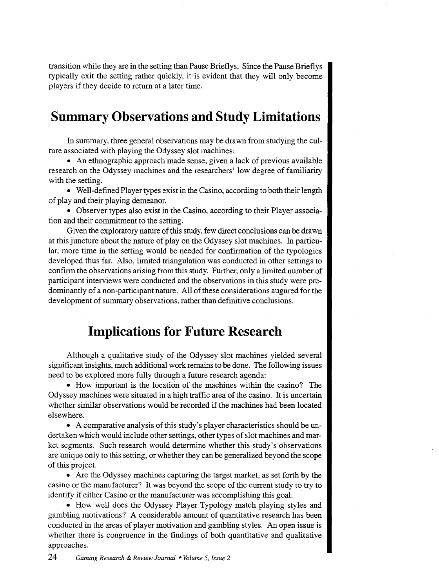transition while they are in the setting than Pause Brieflys. Since the Pause Brieflys typically exit the setting rather quickly, it is evident that they will only become players if they decide to return at a later time.

### **Summary Observations and Study Limitations**

In summary, three general observations may be drawn from studying the culture associated with playing the Odyssey slot machines:

• An ethnographic approach made sense, given a lack of previous available research on the Odyssey machines and the researchers' low degree of familiarity with the setting.

• Well-defined Player types exist in the Casino, according to both their length of play and their playing demeanor.

• Observer types also exist in the Casino, according to their Player association and their commitment to the setting.

Given the exploratory nature of this study, few direct conclusions can be drawn at this juncture about the nature of play on the Odyssey slot machines. In particular, more time in the setting would be needed for confirmation of the typologies developed thus far. Also, limited triangulation was conducted in other settings to confirm the observations arising from this study. Further, only a limited number of participant interviews were conducted and the observations in this study were predominantly of a non-participant nature. All of these considerations augured for the development of summary observations, rather than definitive conclusions.

### **Implications for Future Research**

Although a qualitative study of the Odyssey slot machines yielded several significant insights, much additional work remains to be done. The following issues need to be explored more fully through a future research agenda:

• How important is the location of the machines within the casino? The Odyssey machines were situated in a high traffic area of the casino. It is uncertain whether similar observations would be recorded if the machines had been located elsewhere.

• A comparative analysis of this study's player characteristics should be undertaken which would include other settings, other types of slot machines and market segments. Such research would determine whether this study's observations are unique only to this setting, or whether they can be generalized beyond the scope of this project.

• Are the Odyssey machines capturing the target market, as set forth by the casino or the manufacturer? It was beyond the scope of the current study to try to identify if either Casino or the manufacturer was accomplishing this goal.

• How well does the Odyssey Player Typology match playing styles and gambling motivations? A considerable amount of quantitative research has been conducted in the areas of player motivation and gambling styles. An open issue is whether there is congruence in the findings of both quantitative and qualitative approaches.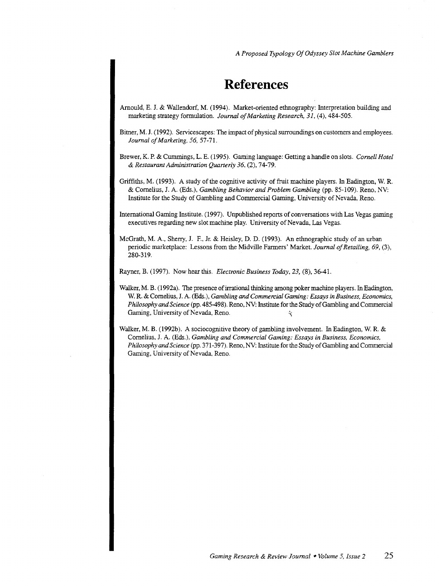## **References**

- Amould, E. J. & Wallendorf, M. (1994). Market-oriented ethnography: Interpretation building and marketing strategy formulation. *Journal of Marketing Research, 31,* (4), 484-505.
- Bitner, M. J. (1992). Servicescapes: The impact of physical surroundings on customers and employees. *Journal of Marketing,* 56,57-71.

Brewer, K. P. & Cummings, L. E. (1995). Gaming language: Getting a handle on slots. *Cornell Hotel*  & *Restaurant Administration Quanerly 36,* (2), 74-79.

Griffiths, M. (1993). A study of the cognitive activity of fruit machine players. In Eadington, W. R. & Cornelius, J. A. (Eds.), *Gambling Behavior and Problem Gambling* (pp. 85-109). Reno, NV: Institute for the Study of Gambling and Commercial Gaming, University of Nevada, Reno.

International Gaming Institute. (1997). Unpublished reports of conversations with Las Vegas gaming executives regarding new slot machine play. University of Nevada, Las Vegas.

McGrath, M.A., Sherry, J. F., Jr. & Heisley, D. D. (1993). An ethnographic study of an urban periodic marketplace: Lessons from the Midville Farmers' Market. *Journal of Retailing, 69,* (3), 280-319.

Rayner, B. (1997). Now hear this. *Electronic Business Today, 23,* (8), 36-41.

- Walker, M. B. (1992a). The presence of irrational thinking among poker machine players. In Eadington, W. R. & Cornelius, J. A. (Eds.), *Gambling* and *Commercial Gaming: Essays in Business, Economics, Philosophy* and *Science* (pp. 485-498). Reno, NV: Institute for the Study of Gambling and Commercial Gaming, University of Nevada, Reno.  $\ddot{\mathbf{x}}$
- Walker, M. B. (1992b). A sociocognitive theory of gambling involvement. In Eadington, W. R. & Cornelius, J. A. (Eds.), *Gambling and Commercial Gaming: Essays in Business, Economics, Philosophy* and *Science* (pp. 371-397). Reno, NV: Institute for the Study of Gambling and Commercial Gaming, University of Nevada, Reno.